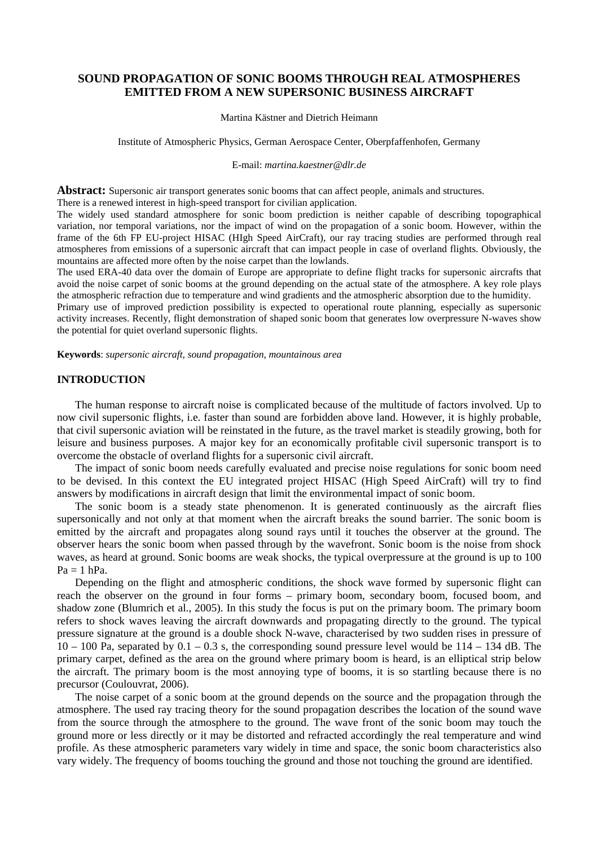# **SOUND PROPAGATION OF SONIC BOOMS THROUGH REAL ATMOSPHERES EMITTED FROM A NEW SUPERSONIC BUSINESS AIRCRAFT**

Martina Kästner and Dietrich Heimann

Institute of Atmospheric Physics, German Aerospace Center, Oberpfaffenhofen, Germany

E-mail: *martina.kaestner@dlr.de* 

**Abstract:** Supersonic air transport generates sonic booms that can affect people, animals and structures. There is a renewed interest in high-speed transport for civilian application.

The widely used standard atmosphere for sonic boom prediction is neither capable of describing topographical variation, nor temporal variations, nor the impact of wind on the propagation of a sonic boom. However, within the frame of the 6th FP EU-project HISAC (HIgh Speed AirCraft), our ray tracing studies are performed through real atmospheres from emissions of a supersonic aircraft that can impact people in case of overland flights. Obviously, the mountains are affected more often by the noise carpet than the lowlands.

The used ERA-40 data over the domain of Europe are appropriate to define flight tracks for supersonic aircrafts that avoid the noise carpet of sonic booms at the ground depending on the actual state of the atmosphere. A key role plays the atmospheric refraction due to temperature and wind gradients and the atmospheric absorption due to the humidity.

Primary use of improved prediction possibility is expected to operational route planning, especially as supersonic activity increases. Recently, flight demonstration of shaped sonic boom that generates low overpressure N-waves show the potential for quiet overland supersonic flights.

**Keywords**: *supersonic aircraft, sound propagation, mountainous area* 

# **INTRODUCTION**

The human response to aircraft noise is complicated because of the multitude of factors involved. Up to now civil supersonic flights, i.e. faster than sound are forbidden above land. However, it is highly probable, that civil supersonic aviation will be reinstated in the future, as the travel market is steadily growing, both for leisure and business purposes. A major key for an economically profitable civil supersonic transport is to overcome the obstacle of overland flights for a supersonic civil aircraft.

The impact of sonic boom needs carefully evaluated and precise noise regulations for sonic boom need to be devised. In this context the EU integrated project HISAC (High Speed AirCraft) will try to find answers by modifications in aircraft design that limit the environmental impact of sonic boom.

The sonic boom is a steady state phenomenon. It is generated continuously as the aircraft flies supersonically and not only at that moment when the aircraft breaks the sound barrier. The sonic boom is emitted by the aircraft and propagates along sound rays until it touches the observer at the ground. The observer hears the sonic boom when passed through by the wavefront. Sonic boom is the noise from shock waves, as heard at ground. Sonic booms are weak shocks, the typical overpressure at the ground is up to 100  $Pa = 1 hPa$ .

Depending on the flight and atmospheric conditions, the shock wave formed by supersonic flight can reach the observer on the ground in four forms – primary boom, secondary boom, focused boom, and shadow zone (Blumrich et al., 2005). In this study the focus is put on the primary boom. The primary boom refers to shock waves leaving the aircraft downwards and propagating directly to the ground. The typical pressure signature at the ground is a double shock N-wave, characterised by two sudden rises in pressure of  $10 - 100$  Pa, separated by  $0.1 - 0.3$  s, the corresponding sound pressure level would be  $114 - 134$  dB. The primary carpet, defined as the area on the ground where primary boom is heard, is an elliptical strip below the aircraft. The primary boom is the most annoying type of booms, it is so startling because there is no precursor (Coulouvrat, 2006).

The noise carpet of a sonic boom at the ground depends on the source and the propagation through the atmosphere. The used ray tracing theory for the sound propagation describes the location of the sound wave from the source through the atmosphere to the ground. The wave front of the sonic boom may touch the ground more or less directly or it may be distorted and refracted accordingly the real temperature and wind profile. As these atmospheric parameters vary widely in time and space, the sonic boom characteristics also vary widely. The frequency of booms touching the ground and those not touching the ground are identified.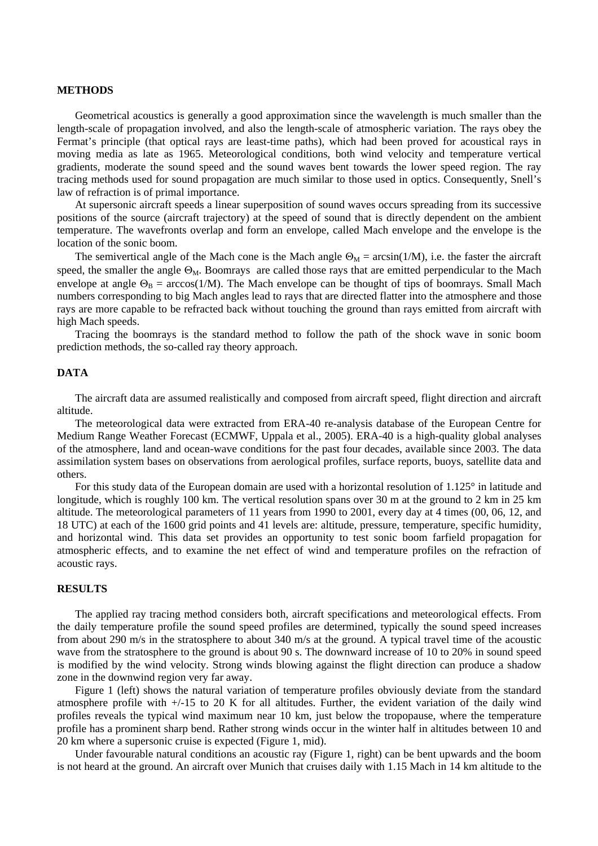#### **METHODS**

Geometrical acoustics is generally a good approximation since the wavelength is much smaller than the length-scale of propagation involved, and also the length-scale of atmospheric variation. The rays obey the Fermat's principle (that optical rays are least-time paths), which had been proved for acoustical rays in moving media as late as 1965. Meteorological conditions, both wind velocity and temperature vertical gradients, moderate the sound speed and the sound waves bent towards the lower speed region. The ray tracing methods used for sound propagation are much similar to those used in optics. Consequently, Snell's law of refraction is of primal importance.

At supersonic aircraft speeds a linear superposition of sound waves occurs spreading from its successive positions of the source (aircraft trajectory) at the speed of sound that is directly dependent on the ambient temperature. The wavefronts overlap and form an envelope, called Mach envelope and the envelope is the location of the sonic boom.

The semivertical angle of the Mach cone is the Mach angle  $\Theta_M = \arcsin(1/M)$ , i.e. the faster the aircraft speed, the smaller the angle  $\Theta_M$ . Boomrays are called those rays that are emitted perpendicular to the Mach envelope at angle  $\Theta_B = \arccos(1/M)$ . The Mach envelope can be thought of tips of boomrays. Small Mach numbers corresponding to big Mach angles lead to rays that are directed flatter into the atmosphere and those rays are more capable to be refracted back without touching the ground than rays emitted from aircraft with high Mach speeds.

Tracing the boomrays is the standard method to follow the path of the shock wave in sonic boom prediction methods, the so-called ray theory approach.

# **DATA**

The aircraft data are assumed realistically and composed from aircraft speed, flight direction and aircraft altitude.

The meteorological data were extracted from ERA-40 re-analysis database of the European Centre for Medium Range Weather Forecast (ECMWF, Uppala et al., 2005). ERA-40 is a high-quality global analyses of the atmosphere, land and ocean-wave conditions for the past four decades, available since 2003. The data assimilation system bases on observations from aerological profiles, surface reports, buoys, satellite data and others.

For this study data of the European domain are used with a horizontal resolution of 1.125° in latitude and longitude, which is roughly 100 km. The vertical resolution spans over 30 m at the ground to 2 km in 25 km altitude. The meteorological parameters of 11 years from 1990 to 2001, every day at 4 times (00, 06, 12, and 18 UTC) at each of the 1600 grid points and 41 levels are: altitude, pressure, temperature, specific humidity, and horizontal wind. This data set provides an opportunity to test sonic boom farfield propagation for atmospheric effects, and to examine the net effect of wind and temperature profiles on the refraction of acoustic rays.

### **RESULTS**

The applied ray tracing method considers both, aircraft specifications and meteorological effects. From the daily temperature profile the sound speed profiles are determined, typically the sound speed increases from about 290 m/s in the stratosphere to about 340 m/s at the ground. A typical travel time of the acoustic wave from the stratosphere to the ground is about 90 s. The downward increase of 10 to 20% in sound speed is modified by the wind velocity. Strong winds blowing against the flight direction can produce a shadow zone in the downwind region very far away.

Figure 1 (left) shows the natural variation of temperature profiles obviously deviate from the standard atmosphere profile with  $+/15$  to 20 K for all altitudes. Further, the evident variation of the daily wind profiles reveals the typical wind maximum near 10 km, just below the tropopause, where the temperature profile has a prominent sharp bend. Rather strong winds occur in the winter half in altitudes between 10 and 20 km where a supersonic cruise is expected (Figure 1, mid).

Under favourable natural conditions an acoustic ray (Figure 1, right) can be bent upwards and the boom is not heard at the ground. An aircraft over Munich that cruises daily with 1.15 Mach in 14 km altitude to the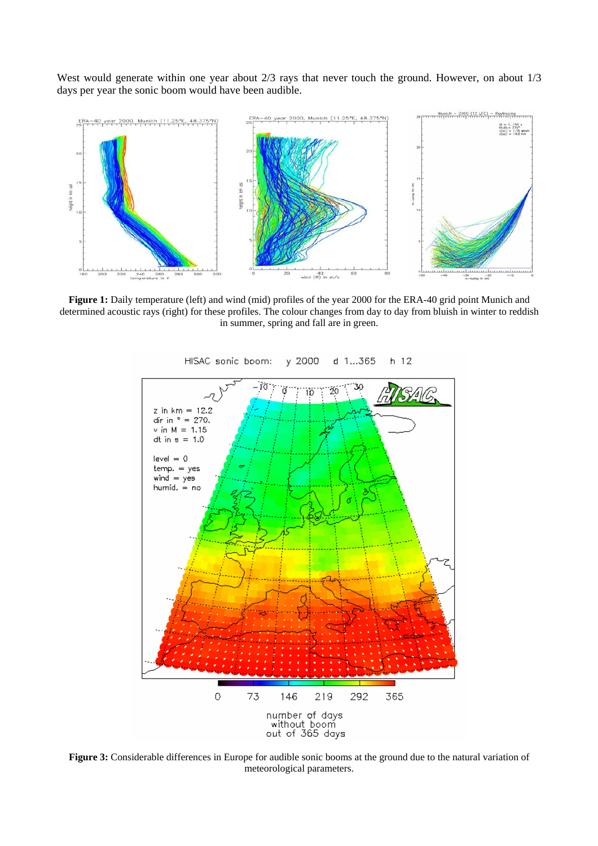West would generate within one year about 2/3 rays that never touch the ground. However, on about 1/3 days per year the sonic boom would have been audible.



**Figure 1:** Daily temperature (left) and wind (mid) profiles of the year 2000 for the ERA-40 grid point Munich and determined acoustic rays (right) for these profiles. The colour changes from day to day from bluish in winter to reddish in summer, spring and fall are in green.



HISAC sonic boom: y 2000  $d$  1...365  $h$  12

**Figure 3:** Considerable differences in Europe for audible sonic booms at the ground due to the natural variation of meteorological parameters.